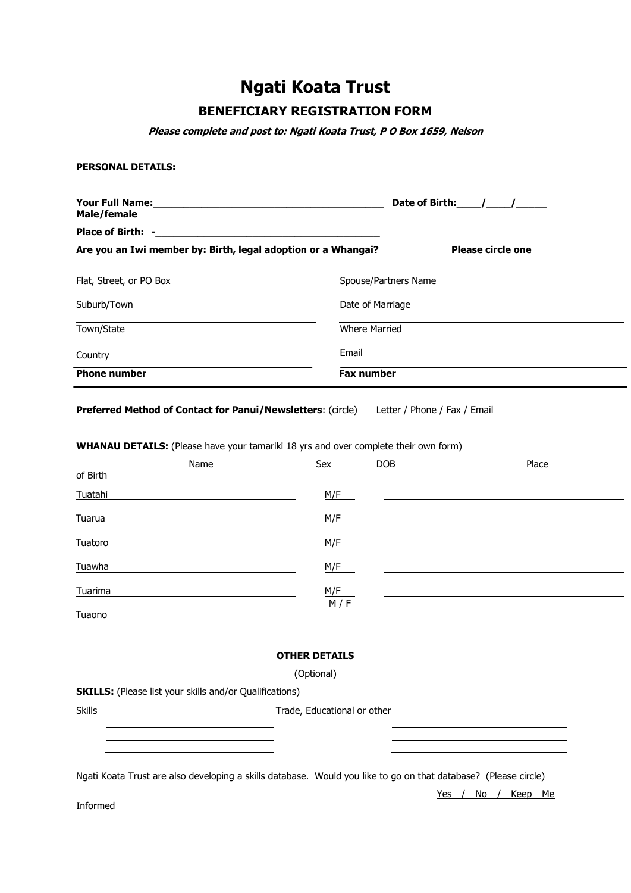# **Ngati Koata Trust**

## **BENEFICIARY REGISTRATION FORM**

**Please complete and post to: Ngati Koata Trust, P O Box 1659, Nelson**

#### **PERSONAL DETAILS:**

| <b>Your Full Name:</b><br>Male/female                         |                      | Date of Birth: / / |
|---------------------------------------------------------------|----------------------|--------------------|
| Place of Birth: -                                             |                      |                    |
| Are you an Iwi member by: Birth, legal adoption or a Whangai? |                      | Please circle one  |
| Flat, Street, or PO Box                                       | Spouse/Partners Name |                    |
| Suburb/Town                                                   | Date of Marriage     |                    |
| Town/State                                                    | <b>Where Married</b> |                    |
| Country                                                       | Email                |                    |
| <b>Phone number</b><br><b>Fax number</b>                      |                      |                    |
|                                                               |                      |                    |

**Preferred Method of Contact for Panui/Newsletters:** (circle) Letter / Phone / Fax / Email

**WHANAU DETAILS:** (Please have your tamariki 18 yrs and over complete their own form)

|          | Name | Sex | <b>DOB</b> | Place |
|----------|------|-----|------------|-------|
| of Birth |      |     |            |       |
| Tuatahi  |      | M/F |            |       |
| Tuarua   |      | M/F |            |       |
| Tuatoro  |      | M/F |            |       |
| Tuawha   |      | M/F |            |       |
| Tuarima  |      | M/F |            |       |
| Tuaono   |      | M/F |            |       |

## **OTHER DETAILS**

(Optional)

**SKILLS:** (Please list your skills and/or Qualifications)

Skills Skills Trade, Educational or other <u> Tantan di Kabupatén Bandung Bandung Bandung Bandung Bandung Bandung Bandung Bandung Bandung Bandung Bandung Bandung Bandung Bandung Bandung Bandung Bandung Bandung Bandung Bandung Bandung Bandung Bandung Bandung Bandung </u>

Ngati Koata Trust are also developing a skills database. Would you like to go on that database? (Please circle)

Yes / No / Keep Me

Informed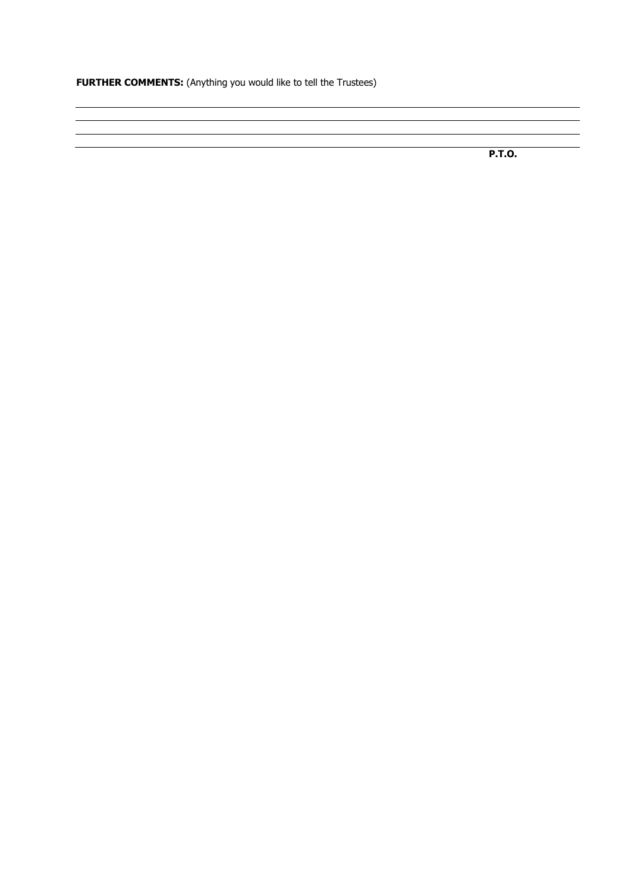**FURTHER COMMENTS:** (Anything you would like to tell the Trustees)

**P.T.O.**

 $\overline{\phantom{a}}$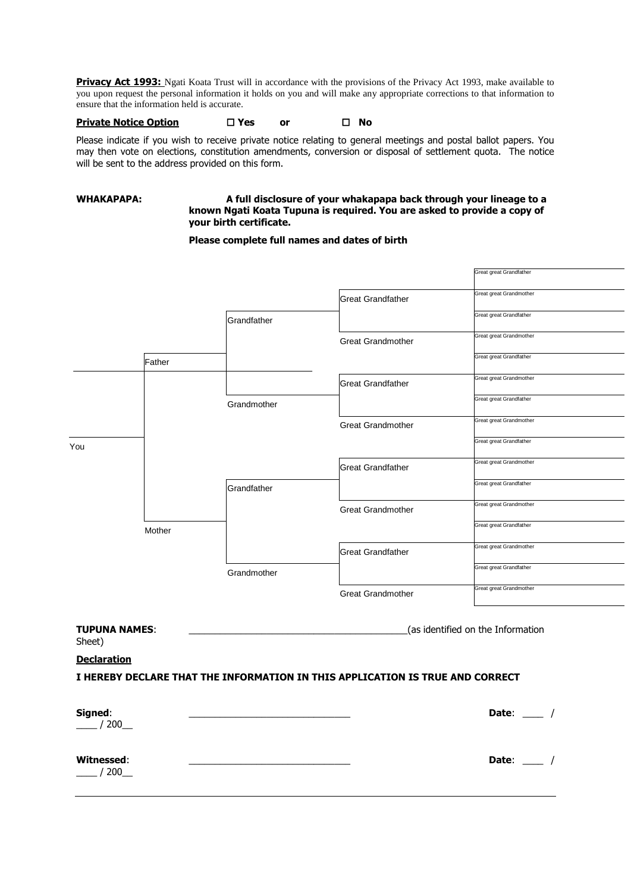**Privacy Act 1993:** Ngati Koata Trust will in accordance with the provisions of the Privacy Act 1993, make available to you upon request the personal information it holds on you and will make any appropriate corrections to that information to ensure that the information held is accurate.

## **Private Notice Option Yes or No**

Please indicate if you wish to receive private notice relating to general meetings and postal ballot papers. You may then vote on elections, constitution amendments, conversion or disposal of settlement quota. The notice will be sent to the address provided on this form.

#### **WHAKAPAPA: A full disclosure of your whakapapa back through your lineage to a known Ngati Koata Tupuna is required. You are asked to provide a copy of your birth certificate.**

### **Please complete full names and dates of birth**

|                                                                               |        |             |                                   | Great great Grandfather |  |
|-------------------------------------------------------------------------------|--------|-------------|-----------------------------------|-------------------------|--|
|                                                                               |        |             |                                   |                         |  |
|                                                                               |        |             | <b>Great Grandfather</b>          | Great great Grandmother |  |
|                                                                               |        | Grandfather |                                   | Great great Grandfather |  |
|                                                                               |        |             | <b>Great Grandmother</b>          | Great great Grandmother |  |
|                                                                               | Father |             |                                   | Great great Grandfather |  |
|                                                                               |        |             | <b>Great Grandfather</b>          | Great great Grandmother |  |
|                                                                               |        | Grandmother |                                   | Great great Grandfather |  |
|                                                                               |        |             | <b>Great Grandmother</b>          | Great great Grandmother |  |
| You                                                                           |        |             |                                   | Great great Grandfather |  |
|                                                                               |        |             | <b>Great Grandfather</b>          | Great great Grandmother |  |
|                                                                               |        | Grandfather |                                   | Great great Grandfather |  |
|                                                                               |        |             | <b>Great Grandmother</b>          | Great great Grandmother |  |
|                                                                               | Mother |             |                                   | Great great Grandfather |  |
|                                                                               |        |             | <b>Great Grandfather</b>          | Great great Grandmother |  |
|                                                                               |        | Grandmother |                                   | Great great Grandfather |  |
|                                                                               |        |             | <b>Great Grandmother</b>          | Great great Grandmother |  |
|                                                                               |        |             |                                   |                         |  |
| <b>TUPUNA NAMES:</b><br>Sheet)                                                |        |             | (as identified on the Information |                         |  |
| <b>Declaration</b>                                                            |        |             |                                   |                         |  |
| I HEREBY DECLARE THAT THE INFORMATION IN THIS APPLICATION IS TRUE AND CORRECT |        |             |                                   |                         |  |
|                                                                               |        |             |                                   |                         |  |
|                                                                               |        |             |                                   |                         |  |

| Signed:<br>/200<br>$\frac{1}{2}$ | Date: $\qquad \qquad$ |
|----------------------------------|-----------------------|
| Witnessed:<br>$-$ / 200 $-$      | Date:                 |